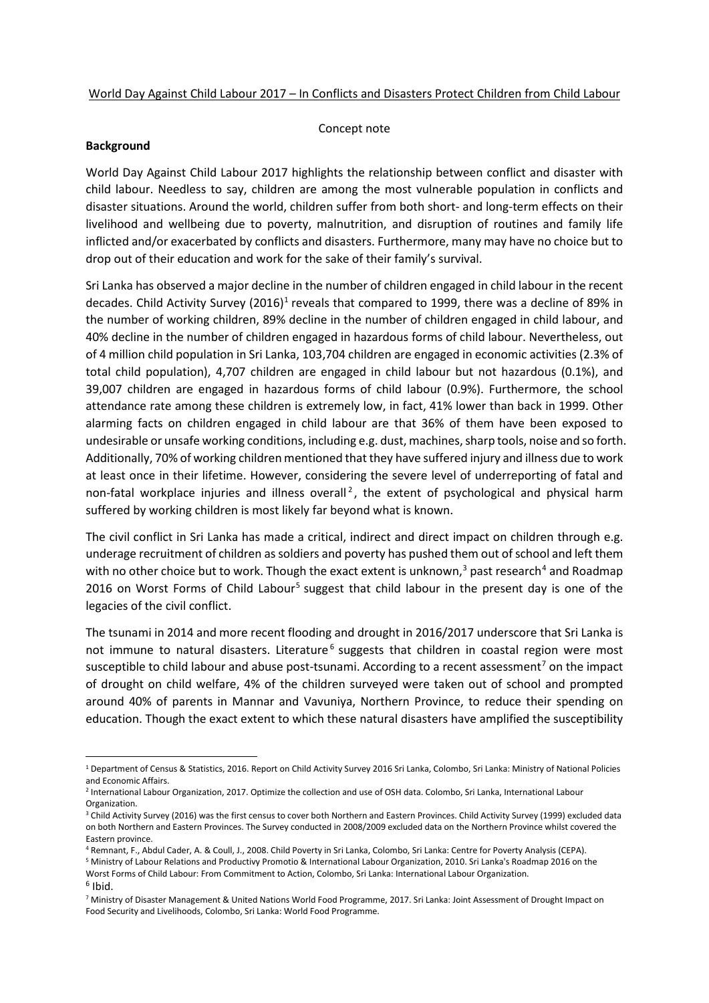## World Day Against Child Labour 2017 – In Conflicts and Disasters Protect Children from Child Labour

## Concept note

## **Background**

World Day Against Child Labour 2017 highlights the relationship between conflict and disaster with child labour. Needless to say, children are among the most vulnerable population in conflicts and disaster situations. Around the world, children suffer from both short- and long-term effects on their livelihood and wellbeing due to poverty, malnutrition, and disruption of routines and family life inflicted and/or exacerbated by conflicts and disasters. Furthermore, many may have no choice but to drop out of their education and work for the sake of their family's survival.

Sri Lanka has observed a major decline in the number of children engaged in child labour in the recent decades. Child Activity Survey  $(2016)^1$  $(2016)^1$  $(2016)^1$  reveals that compared to 1999, there was a decline of 89% in the number of working children, 89% decline in the number of children engaged in child labour, and 40% decline in the number of children engaged in hazardous forms of child labour. Nevertheless, out of 4 million child population in Sri Lanka, 103,704 children are engaged in economic activities (2.3% of total child population), 4,707 children are engaged in child labour but not hazardous (0.1%), and 39,007 children are engaged in hazardous forms of child labour (0.9%). Furthermore, the school attendance rate among these children is extremely low, in fact, 41% lower than back in 1999. Other alarming facts on children engaged in child labour are that 36% of them have been exposed to undesirable or unsafe working conditions, including e.g. dust, machines, sharp tools, noise and so forth. Additionally, 70% of working children mentioned that they have suffered injury and illness due to work at least once in their lifetime. However, considering the severe level of underreporting of fatal and non-fatal workplace injuries and illness overall<sup>[2](#page-0-1)</sup>, the extent of psychological and physical harm suffered by working children is most likely far beyond what is known.

The civil conflict in Sri Lanka has made a critical, indirect and direct impact on children through e.g. underage recruitment of children as soldiers and poverty has pushed them out of school and left them with no other choice but to work. Though the exact extent is unknown,<sup>[3](#page-0-2)</sup> past research<sup>[4](#page-0-3)</sup> and Roadmap 2016 on Worst Forms of Child Labour<sup>[5](#page-0-4)</sup> suggest that child labour in the present day is one of the legacies of the civil conflict.

The tsunami in 2014 and more recent flooding and drought in 2016/2017 underscore that Sri Lanka is not immune to natural disasters. Literature<sup>[6](#page-0-5)</sup> suggests that children in coastal region were most susceptible to child labour and abuse post-tsunami. According to a recent assessment<sup>[7](#page-0-6)</sup> on the impact of drought on child welfare, 4% of the children surveyed were taken out of school and prompted around 40% of parents in Mannar and Vavuniya, Northern Province, to reduce their spending on education. Though the exact extent to which these natural disasters have amplified the susceptibility

<span id="page-0-4"></span><sup>5</sup> Ministry of Labour Relations and Productivy Promotio & International Labour Organization, 2010. Sri Lanka's Roadmap 2016 on the Worst Forms of Child Labour: From Commitment to Action, Colombo, Sri Lanka: International Labour Organization.

<span id="page-0-0"></span><sup>&</sup>lt;sup>1</sup> Department of Census & Statistics, 2016. Report on Child Activity Survey 2016 Sri Lanka, Colombo, Sri Lanka: Ministry of National Policies and Economic Affairs.

<span id="page-0-1"></span><sup>2</sup> International Labour Organization, 2017. Optimize the collection and use of OSH data. Colombo, Sri Lanka, International Labour Organization.

<span id="page-0-2"></span><sup>&</sup>lt;sup>3</sup> Child Activity Survey (2016) was the first census to cover both Northern and Eastern Provinces. Child Activity Survey (1999) excluded data on both Northern and Eastern Provinces. The Survey conducted in 2008/2009 excluded data on the Northern Province whilst covered the Eastern province.

<span id="page-0-3"></span><sup>4</sup> Remnant, F., Abdul Cader, A. & Coull, J., 2008. Child Poverty in Sri Lanka, Colombo, Sri Lanka: Centre for Poverty Analysis (CEPA).

<span id="page-0-5"></span> $6$  Ibid.

<span id="page-0-6"></span><sup>7</sup> Ministry of Disaster Management & United Nations World Food Programme, 2017. Sri Lanka: Joint Assessment of Drought Impact on Food Security and Livelihoods, Colombo, Sri Lanka: World Food Programme.